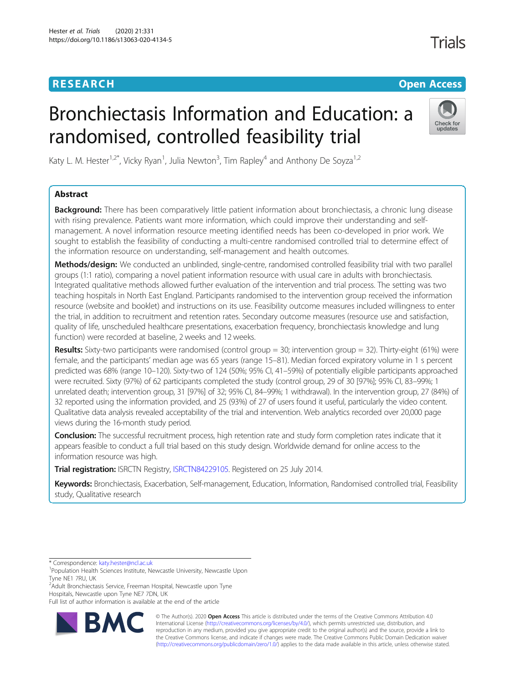## **RESEARCH CHE Open Access**

# Bronchiectasis Information and Education: a randomised, controlled feasibility trial



Katy L. M. Hester<sup>1,2\*</sup>, Vicky Ryan<sup>1</sup>, Julia Newton<sup>3</sup>, Tim Rapley<sup>4</sup> and Anthony De Soyza<sup>1,2</sup>

### Abstract

**Background:** There has been comparatively little patient information about bronchiectasis, a chronic lung disease with rising prevalence. Patients want more information, which could improve their understanding and selfmanagement. A novel information resource meeting identified needs has been co-developed in prior work. We sought to establish the feasibility of conducting a multi-centre randomised controlled trial to determine effect of the information resource on understanding, self-management and health outcomes.

Methods/design: We conducted an unblinded, single-centre, randomised controlled feasibility trial with two parallel groups (1:1 ratio), comparing a novel patient information resource with usual care in adults with bronchiectasis. Integrated qualitative methods allowed further evaluation of the intervention and trial process. The setting was two teaching hospitals in North East England. Participants randomised to the intervention group received the information resource (website and booklet) and instructions on its use. Feasibility outcome measures included willingness to enter the trial, in addition to recruitment and retention rates. Secondary outcome measures (resource use and satisfaction, quality of life, unscheduled healthcare presentations, exacerbation frequency, bronchiectasis knowledge and lung function) were recorded at baseline, 2 weeks and 12 weeks.

**Results:** Sixty-two participants were randomised (control group  $=$  30; intervention group  $=$  32). Thirty-eight (61%) were female, and the participants' median age was 65 years (range 15–81). Median forced expiratory volume in 1 s percent predicted was 68% (range 10–120). Sixty-two of 124 (50%; 95% CI, 41–59%) of potentially eligible participants approached were recruited. Sixty (97%) of 62 participants completed the study (control group, 29 of 30 [97%]; 95% CI, 83–99%; 1 unrelated death; intervention group, 31 [97%] of 32; 95% CI, 84–99%; 1 withdrawal). In the intervention group, 27 (84%) of 32 reported using the information provided, and 25 (93%) of 27 of users found it useful, particularly the video content. Qualitative data analysis revealed acceptability of the trial and intervention. Web analytics recorded over 20,000 page views during the 16-month study period.

Conclusion: The successful recruitment process, high retention rate and study form completion rates indicate that it appears feasible to conduct a full trial based on this study design. Worldwide demand for online access to the information resource was high.

**Trial registration:** ISRCTN Registry, [ISRCTN84229105](https://doi.org/10.1186/ISRCTN84229105). Registered on 25 July 2014.

Keywords: Bronchiectasis, Exacerbation, Self-management, Education, Information, Randomised controlled trial, Feasibility study, Qualitative research

<sup>2</sup><br>Adult Bronchiectasis Service, Freeman Hospital, Newcastle upon Tyne Hospitals, Newcastle upon Tyne NE7 7DN, UK

Full list of author information is available at the end of the article



© The Author(s). 2020 **Open Access** This article is distributed under the terms of the Creative Commons Attribution 4.0 International License [\(http://creativecommons.org/licenses/by/4.0/](http://creativecommons.org/licenses/by/4.0/)), which permits unrestricted use, distribution, and reproduction in any medium, provided you give appropriate credit to the original author(s) and the source, provide a link to the Creative Commons license, and indicate if changes were made. The Creative Commons Public Domain Dedication waiver [\(http://creativecommons.org/publicdomain/zero/1.0/](http://creativecommons.org/publicdomain/zero/1.0/)) applies to the data made available in this article, unless otherwise stated.

<sup>\*</sup> Correspondence: [katy.hester@ncl.ac.uk](mailto:katy.hester@ncl.ac.uk) <sup>1</sup>

<sup>&</sup>lt;sup>1</sup> Population Health Sciences Institute, Newcastle University, Newcastle Upon Tyne NE1 7RU, UK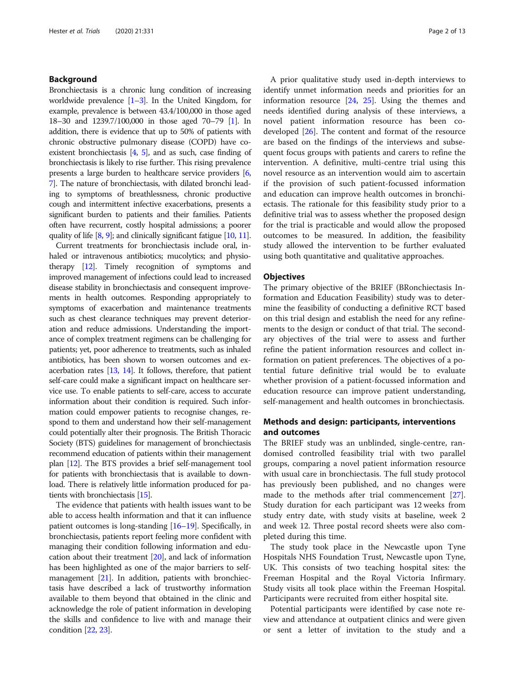#### Background

Bronchiectasis is a chronic lung condition of increasing worldwide prevalence  $[1-3]$  $[1-3]$  $[1-3]$  $[1-3]$ . In the United Kingdom, for example, prevalence is between 43.4/100,000 in those aged 18–30 and 1239.7/100,000 in those aged 70–79 [\[1\]](#page-11-0). In addition, there is evidence that up to 50% of patients with chronic obstructive pulmonary disease (COPD) have coexistent bronchiectasis [\[4,](#page-11-0) [5](#page-11-0)], and as such, case finding of bronchiectasis is likely to rise further. This rising prevalence presents a large burden to healthcare service providers [[6](#page-11-0), [7](#page-11-0)]. The nature of bronchiectasis, with dilated bronchi leading to symptoms of breathlessness, chronic productive cough and intermittent infective exacerbations, presents a significant burden to patients and their families. Patients often have recurrent, costly hospital admissions; a poorer quality of life [\[8,](#page-11-0) [9\]](#page-11-0); and clinically significant fatigue [\[10](#page-11-0), [11](#page-11-0)].

Current treatments for bronchiectasis include oral, inhaled or intravenous antibiotics; mucolytics; and physiotherapy [[12](#page-11-0)]. Timely recognition of symptoms and improved management of infections could lead to increased disease stability in bronchiectasis and consequent improvements in health outcomes. Responding appropriately to symptoms of exacerbation and maintenance treatments such as chest clearance techniques may prevent deterioration and reduce admissions. Understanding the importance of complex treatment regimens can be challenging for patients; yet, poor adherence to treatments, such as inhaled antibiotics, has been shown to worsen outcomes and exacerbation rates [[13](#page-11-0), [14](#page-11-0)]. It follows, therefore, that patient self-care could make a significant impact on healthcare service use. To enable patients to self-care, access to accurate information about their condition is required. Such information could empower patients to recognise changes, respond to them and understand how their self-management could potentially alter their prognosis. The British Thoracic Society (BTS) guidelines for management of bronchiectasis recommend education of patients within their management plan [\[12\]](#page-11-0). The BTS provides a brief self-management tool for patients with bronchiectasis that is available to download. There is relatively little information produced for patients with bronchiectasis [[15\]](#page-11-0).

The evidence that patients with health issues want to be able to access health information and that it can influence patient outcomes is long-standing [[16](#page-12-0)–[19\]](#page-12-0). Specifically, in bronchiectasis, patients report feeling more confident with managing their condition following information and education about their treatment [\[20\]](#page-12-0), and lack of information has been highlighted as one of the major barriers to self-management [\[21\]](#page-12-0). In addition, patients with bronchiectasis have described a lack of trustworthy information available to them beyond that obtained in the clinic and acknowledge the role of patient information in developing the skills and confidence to live with and manage their condition [[22](#page-12-0), [23\]](#page-12-0).

A prior qualitative study used in-depth interviews to identify unmet information needs and priorities for an information resource [\[24](#page-12-0), [25\]](#page-12-0). Using the themes and needs identified during analysis of these interviews, a novel patient information resource has been codeveloped [[26](#page-12-0)]. The content and format of the resource are based on the findings of the interviews and subsequent focus groups with patients and carers to refine the intervention. A definitive, multi-centre trial using this novel resource as an intervention would aim to ascertain if the provision of such patient-focussed information and education can improve health outcomes in bronchiectasis. The rationale for this feasibility study prior to a definitive trial was to assess whether the proposed design for the trial is practicable and would allow the proposed outcomes to be measured. In addition, the feasibility study allowed the intervention to be further evaluated using both quantitative and qualitative approaches.

#### **Objectives**

The primary objective of the BRIEF (BRonchiectasis Information and Education Feasibility) study was to determine the feasibility of conducting a definitive RCT based on this trial design and establish the need for any refinements to the design or conduct of that trial. The secondary objectives of the trial were to assess and further refine the patient information resources and collect information on patient preferences. The objectives of a potential future definitive trial would be to evaluate whether provision of a patient-focussed information and education resource can improve patient understanding, self-management and health outcomes in bronchiectasis.

#### Methods and design: participants, interventions and outcomes

The BRIEF study was an unblinded, single-centre, randomised controlled feasibility trial with two parallel groups, comparing a novel patient information resource with usual care in bronchiectasis. The full study protocol has previously been published, and no changes were made to the methods after trial commencement [\[27](#page-12-0)]. Study duration for each participant was 12 weeks from study entry date, with study visits at baseline, week 2 and week 12. Three postal record sheets were also completed during this time.

The study took place in the Newcastle upon Tyne Hospitals NHS Foundation Trust, Newcastle upon Tyne, UK. This consists of two teaching hospital sites: the Freeman Hospital and the Royal Victoria Infirmary. Study visits all took place within the Freeman Hospital. Participants were recruited from either hospital site.

Potential participants were identified by case note review and attendance at outpatient clinics and were given or sent a letter of invitation to the study and a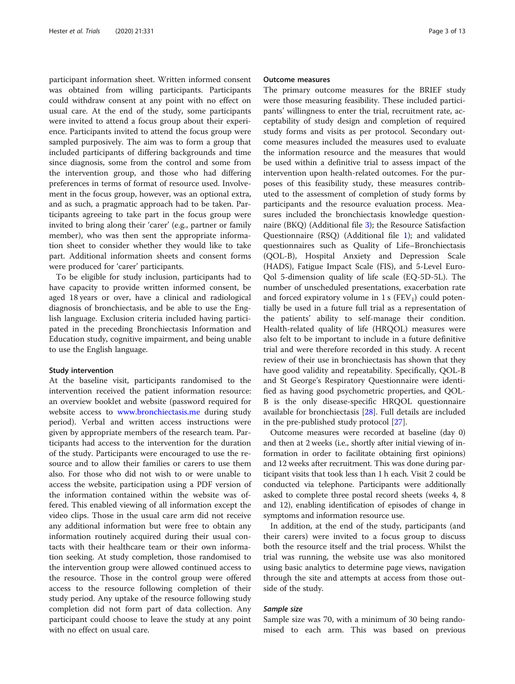participant information sheet. Written informed consent was obtained from willing participants. Participants could withdraw consent at any point with no effect on usual care. At the end of the study, some participants were invited to attend a focus group about their experience. Participants invited to attend the focus group were sampled purposively. The aim was to form a group that included participants of differing backgrounds and time since diagnosis, some from the control and some from the intervention group, and those who had differing preferences in terms of format of resource used. Involvement in the focus group, however, was an optional extra, and as such, a pragmatic approach had to be taken. Participants agreeing to take part in the focus group were invited to bring along their 'carer' (e.g., partner or family member), who was then sent the appropriate information sheet to consider whether they would like to take part. Additional information sheets and consent forms were produced for 'carer' participants.

To be eligible for study inclusion, participants had to have capacity to provide written informed consent, be aged 18 years or over, have a clinical and radiological diagnosis of bronchiectasis, and be able to use the English language. Exclusion criteria included having participated in the preceding Bronchiectasis Information and Education study, cognitive impairment, and being unable to use the English language.

#### Study intervention

At the baseline visit, participants randomised to the intervention received the patient information resource: an overview booklet and website (password required for website access to [www.bronchiectasis.me](http://www.bronchiectasis.me) during study period). Verbal and written access instructions were given by appropriate members of the research team. Participants had access to the intervention for the duration of the study. Participants were encouraged to use the resource and to allow their families or carers to use them also. For those who did not wish to or were unable to access the website, participation using a PDF version of the information contained within the website was offered. This enabled viewing of all information except the video clips. Those in the usual care arm did not receive any additional information but were free to obtain any information routinely acquired during their usual contacts with their healthcare team or their own information seeking. At study completion, those randomised to the intervention group were allowed continued access to the resource. Those in the control group were offered access to the resource following completion of their study period. Any uptake of the resource following study completion did not form part of data collection. Any participant could choose to leave the study at any point with no effect on usual care.

#### Outcome measures

The primary outcome measures for the BRIEF study were those measuring feasibility. These included participants' willingness to enter the trial, recruitment rate, acceptability of study design and completion of required study forms and visits as per protocol. Secondary outcome measures included the measures used to evaluate the information resource and the measures that would be used within a definitive trial to assess impact of the intervention upon health-related outcomes. For the purposes of this feasibility study, these measures contributed to the assessment of completion of study forms by participants and the resource evaluation process. Measures included the bronchiectasis knowledge questionnaire (BKQ) (Additional file [3](#page-11-0)); the Resource Satisfaction Questionnaire (RSQ) (Additional file [1\)](#page-11-0); and validated questionnaires such as Quality of Life–Bronchiectasis (QOL-B), Hospital Anxiety and Depression Scale (HADS), Fatigue Impact Scale (FIS), and 5-Level Euro-Qol 5-dimension quality of life scale (EQ-5D-5L). The number of unscheduled presentations, exacerbation rate and forced expiratory volume in 1 s  $(FEV_1)$  could potentially be used in a future full trial as a representation of the patients' ability to self-manage their condition. Health-related quality of life (HRQOL) measures were also felt to be important to include in a future definitive trial and were therefore recorded in this study. A recent review of their use in bronchiectasis has shown that they have good validity and repeatability. Specifically, QOL-B and St George's Respiratory Questionnaire were identified as having good psychometric properties, and QOL-B is the only disease-specific HRQOL questionnaire available for bronchiectasis [[28\]](#page-12-0). Full details are included in the pre-published study protocol [\[27\]](#page-12-0).

Outcome measures were recorded at baseline (day 0) and then at 2 weeks (i.e., shortly after initial viewing of information in order to facilitate obtaining first opinions) and 12 weeks after recruitment. This was done during participant visits that took less than 1 h each. Visit 2 could be conducted via telephone. Participants were additionally asked to complete three postal record sheets (weeks 4, 8 and 12), enabling identification of episodes of change in symptoms and information resource use.

In addition, at the end of the study, participants (and their carers) were invited to a focus group to discuss both the resource itself and the trial process. Whilst the trial was running, the website use was also monitored using basic analytics to determine page views, navigation through the site and attempts at access from those outside of the study.

#### Sample size

Sample size was 70, with a minimum of 30 being randomised to each arm. This was based on previous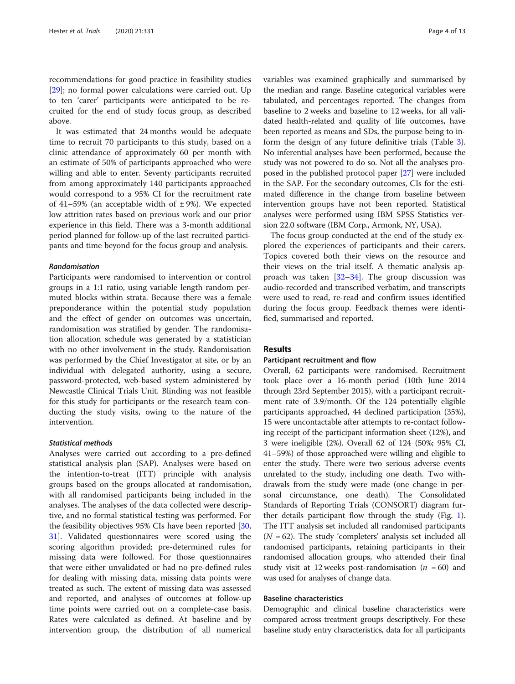recommendations for good practice in feasibility studies [[29\]](#page-12-0); no formal power calculations were carried out. Up to ten 'carer' participants were anticipated to be recruited for the end of study focus group, as described above.

It was estimated that 24 months would be adequate time to recruit 70 participants to this study, based on a clinic attendance of approximately 60 per month with an estimate of 50% of participants approached who were willing and able to enter. Seventy participants recruited from among approximately 140 participants approached would correspond to a 95% CI for the recruitment rate of 41–59% (an acceptable width of  $\pm$  9%). We expected low attrition rates based on previous work and our prior experience in this field. There was a 3-month additional period planned for follow-up of the last recruited participants and time beyond for the focus group and analysis.

#### Randomisation

Participants were randomised to intervention or control groups in a 1:1 ratio, using variable length random permuted blocks within strata. Because there was a female preponderance within the potential study population and the effect of gender on outcomes was uncertain, randomisation was stratified by gender. The randomisation allocation schedule was generated by a statistician with no other involvement in the study. Randomisation was performed by the Chief Investigator at site, or by an individual with delegated authority, using a secure, password-protected, web-based system administered by Newcastle Clinical Trials Unit. Blinding was not feasible for this study for participants or the research team conducting the study visits, owing to the nature of the intervention.

#### Statistical methods

Analyses were carried out according to a pre-defined statistical analysis plan (SAP). Analyses were based on the intention-to-treat (ITT) principle with analysis groups based on the groups allocated at randomisation, with all randomised participants being included in the analyses. The analyses of the data collected were descriptive, and no formal statistical testing was performed. For the feasibility objectives 95% CIs have been reported [[30](#page-12-0), [31\]](#page-12-0). Validated questionnaires were scored using the scoring algorithm provided; pre-determined rules for missing data were followed. For those questionnaires that were either unvalidated or had no pre-defined rules for dealing with missing data, missing data points were treated as such. The extent of missing data was assessed and reported, and analyses of outcomes at follow-up time points were carried out on a complete-case basis. Rates were calculated as defined. At baseline and by intervention group, the distribution of all numerical variables was examined graphically and summarised by the median and range. Baseline categorical variables were tabulated, and percentages reported. The changes from baseline to 2 weeks and baseline to 12 weeks, for all validated health-related and quality of life outcomes, have been reported as means and SDs, the purpose being to inform the design of any future definitive trials (Table [3](#page-7-0)). No inferential analyses have been performed, because the study was not powered to do so. Not all the analyses proposed in the published protocol paper [[27\]](#page-12-0) were included in the SAP. For the secondary outcomes, CIs for the estimated difference in the change from baseline between intervention groups have not been reported. Statistical analyses were performed using IBM SPSS Statistics version 22.0 software (IBM Corp., Armonk, NY, USA).

The focus group conducted at the end of the study explored the experiences of participants and their carers. Topics covered both their views on the resource and their views on the trial itself. A thematic analysis approach was taken  $[32-34]$  $[32-34]$  $[32-34]$ . The group discussion was audio-recorded and transcribed verbatim, and transcripts were used to read, re-read and confirm issues identified during the focus group. Feedback themes were identified, summarised and reported.

#### Results

#### Participant recruitment and flow

Overall, 62 participants were randomised. Recruitment took place over a 16-month period (10th June 2014 through 23rd September 2015), with a participant recruitment rate of 3.9/month. Of the 124 potentially eligible participants approached, 44 declined participation (35%), 15 were uncontactable after attempts to re-contact following receipt of the participant information sheet (12%), and 3 were ineligible (2%). Overall 62 of 124 (50%; 95% CI, 41–59%) of those approached were willing and eligible to enter the study. There were two serious adverse events unrelated to the study, including one death. Two withdrawals from the study were made (one change in personal circumstance, one death). The Consolidated Standards of Reporting Trials (CONSORT) diagram further details participant flow through the study (Fig. [1](#page-4-0)). The ITT analysis set included all randomised participants  $(N = 62)$ . The study 'completers' analysis set included all randomised participants, retaining participants in their randomised allocation groups, who attended their final study visit at 12 weeks post-randomisation ( $n = 60$ ) and was used for analyses of change data.

#### Baseline characteristics

Demographic and clinical baseline characteristics were compared across treatment groups descriptively. For these baseline study entry characteristics, data for all participants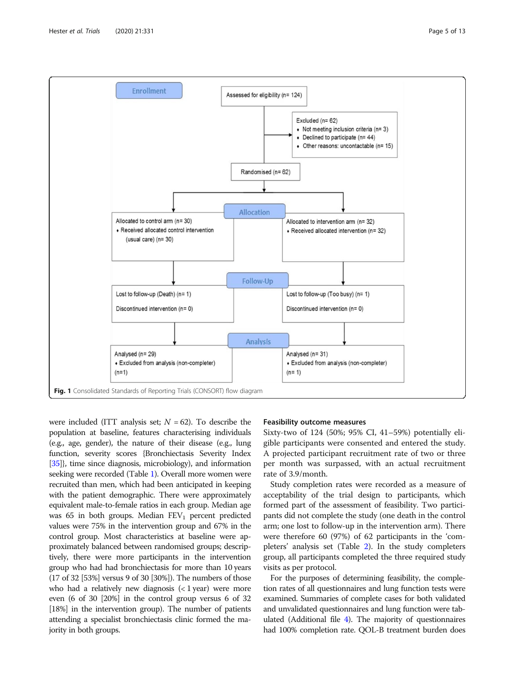<span id="page-4-0"></span>

were included (ITT analysis set;  $N = 62$ ). To describe the population at baseline, features characterising individuals (e.g., age, gender), the nature of their disease (e.g., lung function, severity scores {Bronchiectasis Severity Index [[35](#page-12-0)], time since diagnosis, microbiology), and information seeking were recorded (Table [1\)](#page-5-0). Overall more women were recruited than men, which had been anticipated in keeping with the patient demographic. There were approximately equivalent male-to-female ratios in each group. Median age was 65 in both groups. Median  $FEV<sub>1</sub>$  percent predicted values were 75% in the intervention group and 67% in the control group. Most characteristics at baseline were approximately balanced between randomised groups; descriptively, there were more participants in the intervention group who had had bronchiectasis for more than 10 years (17 of 32 [53%] versus 9 of 30 [30%]). The numbers of those who had a relatively new diagnosis  $($  1 year) were more even (6 of 30 [20%] in the control group versus 6 of 32 [18%] in the intervention group). The number of patients attending a specialist bronchiectasis clinic formed the majority in both groups.

#### Feasibility outcome measures

Sixty-two of 124 (50%; 95% CI, 41–59%) potentially eligible participants were consented and entered the study. A projected participant recruitment rate of two or three per month was surpassed, with an actual recruitment rate of 3.9/month.

Study completion rates were recorded as a measure of acceptability of the trial design to participants, which formed part of the assessment of feasibility. Two participants did not complete the study (one death in the control arm; one lost to follow-up in the intervention arm). There were therefore 60 (97%) of 62 participants in the 'completers' analysis set (Table [2](#page-6-0)). In the study completers group, all participants completed the three required study visits as per protocol.

For the purposes of determining feasibility, the completion rates of all questionnaires and lung function tests were examined. Summaries of complete cases for both validated and unvalidated questionnaires and lung function were tabulated (Additional file [4\)](#page-11-0). The majority of questionnaires had 100% completion rate. QOL-B treatment burden does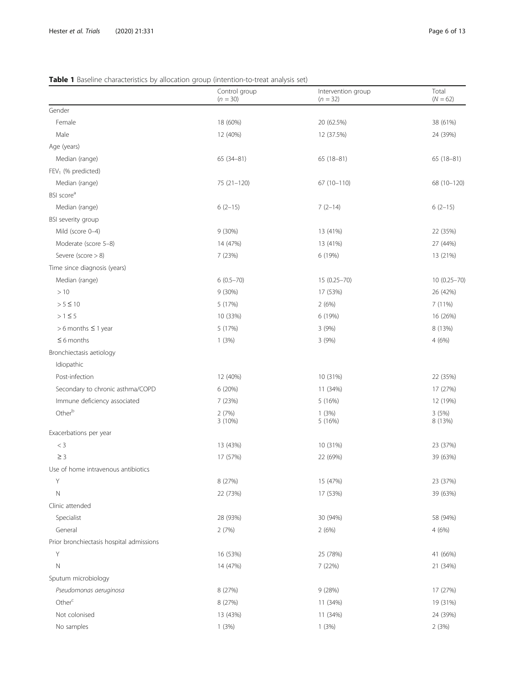#### <span id="page-5-0"></span>Table 1 Baseline characteristics by allocation group (intention-to-treat analysis set)

|                                          | Control group<br>$(n = 30)$ | Intervention group<br>$(n = 32)$ | Total<br>$(N = 62)$ |
|------------------------------------------|-----------------------------|----------------------------------|---------------------|
| Gender                                   |                             |                                  |                     |
| Female                                   | 18 (60%)                    | 20 (62.5%)                       | 38 (61%)            |
| Male                                     | 12 (40%)                    | 12 (37.5%)                       | 24 (39%)            |
| Age (years)                              |                             |                                  |                     |
| Median (range)                           | $65(34-81)$                 | $65(18-81)$                      | $65(18-81)$         |
| $FEV1$ (% predicted)                     |                             |                                  |                     |
| Median (range)                           | 75 (21-120)                 | $67(10-110)$                     | 68 (10-120)         |
| BSI score <sup>a</sup>                   |                             |                                  |                     |
| Median (range)                           | $6(2-15)$                   | $7(2-14)$                        | $6(2-15)$           |
| BSI severity group                       |                             |                                  |                     |
| Mild (score 0-4)                         | 9 (30%)                     | 13 (41%)                         | 22 (35%)            |
| Moderate (score 5-8)                     | 14 (47%)                    | 13 (41%)                         | 27 (44%)            |
| Severe (score > 8)                       | 7 (23%)                     | 6 (19%)                          | 13 (21%)            |
| Time since diagnosis (years)             |                             |                                  |                     |
| Median (range)                           | $6(0.5 - 70)$               | $15(0.25 - 70)$                  | 10 (0.25-70)        |
| >10                                      | 9 (30%)                     | 17 (53%)                         | 26 (42%)            |
| $> 5 \le 10$                             | 5 (17%)                     | 2(6%)                            | 7 (11%)             |
| $>1 \leq 5$                              | 10 (33%)                    | 6 (19%)                          | 16 (26%)            |
| $> 6$ months $\leq 1$ year               | 5 (17%)                     | 3(9%)                            | 8 (13%)             |
| $\leq 6$ months                          | 1(3%)                       | 3 (9%)                           | 4(6%)               |
| Bronchiectasis aetiology                 |                             |                                  |                     |
| Idiopathic                               |                             |                                  |                     |
| Post-infection                           | 12 (40%)                    | 10 (31%)                         | 22 (35%)            |
| Secondary to chronic asthma/COPD         | 6 (20%)                     | 11 (34%)                         | 17 (27%)            |
| Immune deficiency associated             | 7 (23%)                     | 5 (16%)                          | 12 (19%)            |
| Otherb                                   | 2(7%)                       | 1(3%)                            | 3(5%)               |
|                                          | $3(10\%)$                   | 5 (16%)                          | 8 (13%)             |
| Exacerbations per year                   |                             |                                  |                     |
| $<$ 3                                    | 13 (43%)                    | 10 (31%)                         | 23 (37%)            |
| $\geq$ 3                                 | 17 (57%)                    | 22 (69%)                         | 39 (63%)            |
| Use of home intravenous antibiotics      |                             |                                  |                     |
| Υ                                        | 8 (27%)                     | 15 (47%)                         | 23 (37%)            |
| Ν                                        | 22 (73%)                    | 17 (53%)                         | 39 (63%)            |
| Clinic attended                          |                             |                                  |                     |
| Specialist                               | 28 (93%)                    | 30 (94%)                         | 58 (94%)            |
| General                                  | 2(7%)                       | 2(6%)                            | 4 (6%)              |
| Prior bronchiectasis hospital admissions |                             |                                  |                     |
| Y                                        | 16 (53%)                    | 25 (78%)                         | 41 (66%)            |
| Ν                                        | 14 (47%)                    | 7 (22%)                          | 21 (34%)            |
| Sputum microbiology                      |                             |                                  |                     |
| Pseudomonas aeruginosa                   | 8 (27%)                     | 9 (28%)                          | 17 (27%)            |
| Other <sup>c</sup>                       | 8 (27%)                     | 11 (34%)                         | 19 (31%)            |
| Not colonised                            | 13 (43%)                    | 11 (34%)                         | 24 (39%)            |
| No samples                               | 1(3%)                       | 1(3%)                            | 2(3%)               |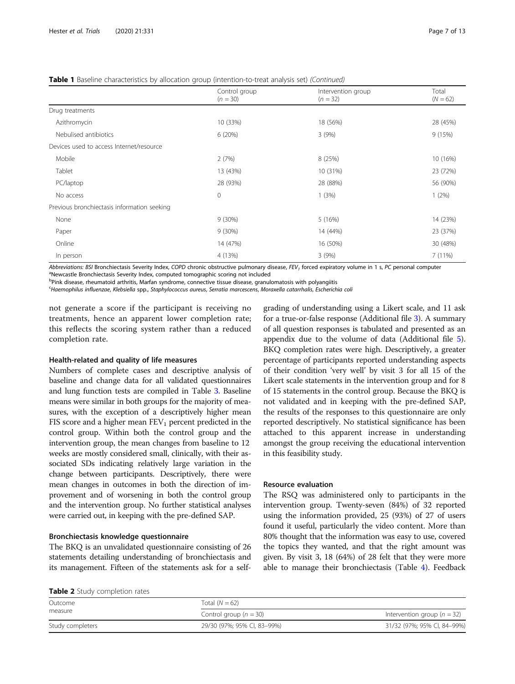<span id="page-6-0"></span>

|  |  | Table 1 Baseline characteristics by allocation group (intention-to-treat analysis set) (Continued) |  |
|--|--|----------------------------------------------------------------------------------------------------|--|
|  |  |                                                                                                    |  |

|                                             | Control group<br>$(n = 30)$ | Intervention group<br>$(n = 32)$ | Total<br>$(N = 62)$ |
|---------------------------------------------|-----------------------------|----------------------------------|---------------------|
| Drug treatments                             |                             |                                  |                     |
| Azithromycin                                | 10 (33%)                    | 18 (56%)                         | 28 (45%)            |
| Nebulised antibiotics                       | 6(20%)                      | 3(9%)                            | 9(15%)              |
| Devices used to access Internet/resource    |                             |                                  |                     |
| Mobile                                      | 2(7%)                       | 8 (25%)                          | 10 (16%)            |
| Tablet                                      | 13 (43%)                    | 10 (31%)                         | 23 (72%)            |
| PC/laptop                                   | 28 (93%)                    | 28 (88%)                         | 56 (90%)            |
| No access                                   | $\mathbf 0$                 | 1(3%)                            | 1(2%)               |
| Previous bronchiectasis information seeking |                             |                                  |                     |
| None                                        | $9(30\%)$                   | 5(16%)                           | 14 (23%)            |
| Paper                                       | $9(30\%)$                   | 14 (44%)                         | 23 (37%)            |
| Online                                      | 14 (47%)                    | 16 (50%)                         | 30 (48%)            |
| In person                                   | 4 (13%)                     | 3(9%)                            | 7(11%)              |

Abbreviations: BSI Bronchiectasis Severity Index, COPD chronic obstructive pulmonary disease, FEV<sub>1</sub> forced expiratory volume in 1 s, PC personal computer

<sup>a</sup>Newcastle Bronchiectasis Severity Index, computed tomographic scoring not included

<sup>b</sup>Pink disease, rheumatoid arthritis, Marfan syndrome, connective tissue disease, granulomatosis with polyangiitis

<sup>c</sup>Haemophilus influenzae, Klebsiella spp., Staphylococcus aureus, Serratia marcescens, Moraxella catarrhalis, Escherichia coli

not generate a score if the participant is receiving no treatments, hence an apparent lower completion rate; this reflects the scoring system rather than a reduced completion rate.

#### Health-related and quality of life measures

Numbers of complete cases and descriptive analysis of baseline and change data for all validated questionnaires and lung function tests are compiled in Table [3](#page-7-0). Baseline means were similar in both groups for the majority of measures, with the exception of a descriptively higher mean FIS score and a higher mean  $FEV<sub>1</sub>$  percent predicted in the control group. Within both the control group and the intervention group, the mean changes from baseline to 12 weeks are mostly considered small, clinically, with their associated SDs indicating relatively large variation in the change between participants. Descriptively, there were mean changes in outcomes in both the direction of improvement and of worsening in both the control group and the intervention group. No further statistical analyses were carried out, in keeping with the pre-defined SAP.

#### Bronchiectasis knowledge questionnaire

The BKQ is an unvalidated questionnaire consisting of 26 statements detailing understanding of bronchiectasis and its management. Fifteen of the statements ask for a self-

grading of understanding using a Likert scale, and 11 ask for a true-or-false response (Additional file [3\)](#page-11-0). A summary of all question responses is tabulated and presented as an appendix due to the volume of data (Additional file [5](#page-11-0)). BKQ completion rates were high. Descriptively, a greater percentage of participants reported understanding aspects of their condition 'very well' by visit 3 for all 15 of the Likert scale statements in the intervention group and for 8 of 15 statements in the control group. Because the BKQ is not validated and in keeping with the pre-defined SAP, the results of the responses to this questionnaire are only reported descriptively. No statistical significance has been attached to this apparent increase in understanding amongst the group receiving the educational intervention in this feasibility study.

#### Resource evaluation

The RSQ was administered only to participants in the intervention group. Twenty-seven (84%) of 32 reported using the information provided, 25 (93%) of 27 of users found it useful, particularly the video content. More than 80% thought that the information was easy to use, covered the topics they wanted, and that the right amount was given. By visit 3, 18 (64%) of 28 felt that they were more able to manage their bronchiectasis (Table [4\)](#page-8-0). Feedback

| <b>Table 2</b> Study completion rates |  |  |  |  |
|---------------------------------------|--|--|--|--|
|---------------------------------------|--|--|--|--|

| Outcome          | Total $(N = 62)$            |                                 |  |  |  |
|------------------|-----------------------------|---------------------------------|--|--|--|
| measure          | Control group ( $n = 30$ )  | Intervention group ( $n = 32$ ) |  |  |  |
| Study completers | 29/30 (97%; 95% CI, 83-99%) | 31/32 (97%; 95% CI, 84–99%)     |  |  |  |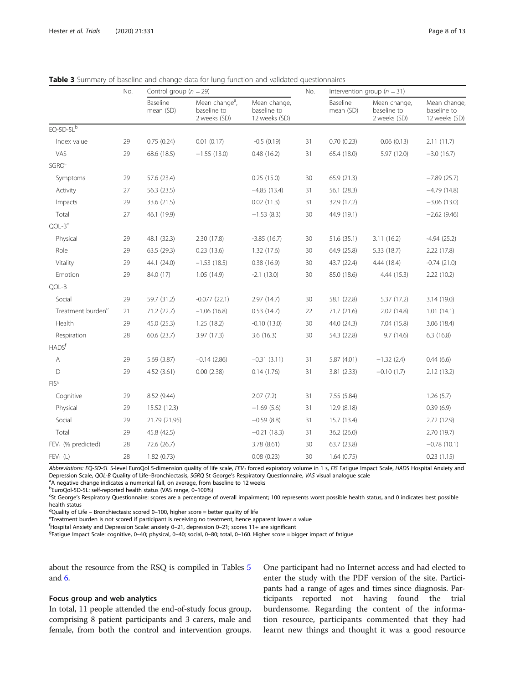|                               | No. | Control group ( $n = 29$ ) |                                                           | No.                                          | Intervention group ( $n = 31$ ) |                       |                                             |                                              |
|-------------------------------|-----|----------------------------|-----------------------------------------------------------|----------------------------------------------|---------------------------------|-----------------------|---------------------------------------------|----------------------------------------------|
|                               |     | Baseline<br>mean (SD)      | Mean change <sup>a</sup> ,<br>baseline to<br>2 weeks (SD) | Mean change,<br>baseline to<br>12 weeks (SD) |                                 | Baseline<br>mean (SD) | Mean change,<br>baseline to<br>2 weeks (SD) | Mean change,<br>baseline to<br>12 weeks (SD) |
| $EQ-5D-5L^b$                  |     |                            |                                                           |                                              |                                 |                       |                                             |                                              |
| Index value                   | 29  | 0.75(0.24)                 | 0.01(0.17)                                                | $-0.5(0.19)$                                 | 31                              | 0.70(0.23)            | 0.06(0.13)                                  | 2.11(11.7)                                   |
| VAS                           | 29  | 68.6 (18.5)                | $-1.55(13.0)$                                             | 0.48(16.2)                                   | 31                              | 65.4 (18.0)           | 5.97 (12.0)                                 | $-3.0$ (16.7)                                |
| SGRQ <sup>c</sup>             |     |                            |                                                           |                                              |                                 |                       |                                             |                                              |
| Symptoms                      | 29  | 57.6 (23.4)                |                                                           | 0.25(15.0)                                   | 30                              | 65.9 (21.3)           |                                             | $-7.89(25.7)$                                |
| Activity                      | 27  | 56.3 (23.5)                |                                                           | $-4.85(13.4)$                                | 31                              | 56.1 (28.3)           |                                             | $-4.79(14.8)$                                |
| Impacts                       | 29  | 33.6 (21.5)                |                                                           | 0.02(11.3)                                   | 31                              | 32.9 (17.2)           |                                             | $-3.06(13.0)$                                |
| Total                         | 27  | 46.1 (19.9)                |                                                           | $-1.53(8.3)$                                 | 30                              | 44.9 (19.1)           |                                             | $-2.62(9.46)$                                |
| $QOL-Bd$                      |     |                            |                                                           |                                              |                                 |                       |                                             |                                              |
| Physical                      | 29  | 48.1 (32.3)                | 2.30 (17.8)                                               | $-3.85(16.7)$                                | 30                              | 51.6 (35.1)           | 3.11 (16.2)                                 | $-4.94(25.2)$                                |
| Role                          | 29  | 63.5 (29.3)                | 0.23(13.6)                                                | 1.32(17.6)                                   | 30                              | 64.9 (25.8)           | 5.33 (18.7)                                 | 2.22 (17.8)                                  |
| Vitality                      | 29  | 44.1 (24.0)                | $-1.53(18.5)$                                             | 0.38(16.9)                                   | 30                              | 43.7 (22.4)           | 4.44 (18.4)                                 | $-0.74(21.0)$                                |
| Emotion                       | 29  | 84.0 (17)                  | 1.05(14.9)                                                | $-2.1(13.0)$                                 | 30                              | 85.0 (18.6)           | 4.44 (15.3)                                 | 2.22(10.2)                                   |
| QOL-B                         |     |                            |                                                           |                                              |                                 |                       |                                             |                                              |
| Social                        | 29  | 59.7 (31.2)                | $-0.077(22.1)$                                            | 2.97 (14.7)                                  | 30                              | 58.1 (22.8)           | 5.37 (17.2)                                 | 3.14 (19.0)                                  |
| Treatment burden <sup>e</sup> | 21  | 71.2 (22.7)                | $-1.06(16.8)$                                             | 0.53(14.7)                                   | 22                              | 71.7 (21.6)           | 2.02 (14.8)                                 | 1.01(14.1)                                   |
| Health                        | 29  | 45.0 (25.3)                | 1.25(18.2)                                                | $-0.10(13.0)$                                | 30                              | 44.0 (24.3)           | 7.04 (15.8)                                 | 3.06 (18.4)                                  |
| Respiration                   | 28  | 60.6 (23.7)                | 3.97 (17.3)                                               | 3.6(16.3)                                    | 30                              | 54.3 (22.8)           | 9.7(14.6)                                   | 6.3(16.8)                                    |
| <b>HADS</b> f                 |     |                            |                                                           |                                              |                                 |                       |                                             |                                              |
| Α                             | 29  | 5.69 (3.87)                | $-0.14(2.86)$                                             | $-0.31(3.11)$                                | 31                              | 5.87 (4.01)           | $-1.32(2.4)$                                | 0.44(6.6)                                    |
| D                             | 29  | 4.52 (3.61)                | 0.00(2.38)                                                | 0.14(1.76)                                   | 31                              | 3.81(2.33)            | $-0.10(1.7)$                                | 2.12(13.2)                                   |
| FIS <sup>9</sup>              |     |                            |                                                           |                                              |                                 |                       |                                             |                                              |
| Cognitive                     | 29  | 8.52 (9.44)                |                                                           | 2.07(7.2)                                    | 31                              | 7.55 (5.84)           |                                             | 1.26(5.7)                                    |
| Physical                      | 29  | 15.52 (12.3)               |                                                           | $-1.69(5.6)$                                 | 31                              | 12.9 (8.18)           |                                             | 0.39(6.9)                                    |
| Social                        | 29  | 21.79 (21.95)              |                                                           | $-0.59(8.8)$                                 | 31                              | 15.7 (13.4)           |                                             | 2.72 (12.9)                                  |
| Total                         | 29  | 45.8 (42.5)                |                                                           | $-0.21(18.3)$                                | 31                              | 36.2 (26.0)           |                                             | 2.70 (19.7)                                  |
| $FEV1$ (% predicted)          | 28  | 72.6 (26.7)                |                                                           | 3.78 (8.61)                                  | 30                              | 63.7 (23.8)           |                                             | $-0.78(10.1)$                                |
| $FEV_1(L)$                    | 28  | 1.82 (0.73)                |                                                           | 0.08(0.23)                                   | 30                              | 1.64(0.75)            |                                             | 0.23(1.15)                                   |

<span id="page-7-0"></span>**Table 3** Summary of baseline and change data for lung function and validated questionnaires

Abbreviations: EQ-5D-5L 5-level EuroQol 5-dimension quality of life scale, FEV<sub>1</sub> forced expiratory volume in 1 s, FIS Fatigue Impact Scale, HADS Hospital Anxiety and Depression Scale, QOL-B Quality of Life–Bronchiectasis, SGRQ St George's Respiratory Questionnaire, VAS visual analogue scale <sup>a</sup>

<sup>a</sup>A negative change indicates a numerical fall, on average, from baseline to 12 weeks

b<br>EuroQol-5D-5L: self-reported health status (VAS range, 0–100%)<br>CSt George's Bespiratory Questionnaire: scores are a persentage

<sup>c</sup>St George's Respiratory Questionnaire: scores are a percentage of overall impairment; 100 represents worst possible health status, and 0 indicates best possible health status

d<br> **Coulty of Life – Bronchiectasis: scored 0–100, higher score = better quality of life**<br> **Treatment burden is not scored if participant is receiving no treatment, bence are** 

 $e$ Treatment burden is not scored if participant is receiving no treatment, hence apparent lower  $n$  value

 $f$ Hospital Anxiety and Depression Scale: anxiety 0–21, depression 0–21; scores 11+ are significant

 $9$ Fatigue Impact Scale: cognitive, 0–40; physical, 0–40; social, 0–80; total, 0–160. Higher score = bigger impact of fatigue

about the resource from the RSQ is compiled in Tables [5](#page-9-0) and [6.](#page-9-0)

#### Focus group and web analytics

In total, 11 people attended the end-of-study focus group, comprising 8 patient participants and 3 carers, male and female, from both the control and intervention groups.

One participant had no Internet access and had elected to enter the study with the PDF version of the site. Participants had a range of ages and times since diagnosis. Participants reported not having found the trial burdensome. Regarding the content of the information resource, participants commented that they had learnt new things and thought it was a good resource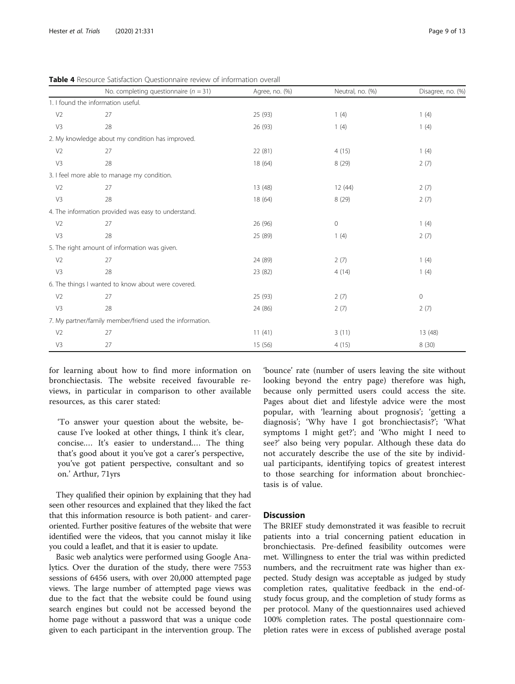<span id="page-8-0"></span>Table 4 Resource Satisfaction Questionnaire review of information overall

|                | No. completing questionnaire ( $n = 31$ )                | Agree, no. (%) | Neutral, no. (%) | Disagree, no. (%) |
|----------------|----------------------------------------------------------|----------------|------------------|-------------------|
|                | 1. I found the information useful.                       |                |                  |                   |
| V <sub>2</sub> | 27                                                       | 25 (93)        | 1(4)             | 1(4)              |
| V3             | 28                                                       | 26 (93)        | 1(4)             | 1(4)              |
|                | 2. My knowledge about my condition has improved.         |                |                  |                   |
| V <sub>2</sub> | 27                                                       | 22 (81)        | 4(15)            | 1(4)              |
| V3             | 28                                                       | 18 (64)        | 8(29)            | 2(7)              |
|                | 3. I feel more able to manage my condition.              |                |                  |                   |
| V <sub>2</sub> | 27                                                       | 13 (48)        | 12(44)           | 2(7)              |
| V3             | 28                                                       | 18 (64)        | 8(29)            | 2(7)              |
|                | 4. The information provided was easy to understand.      |                |                  |                   |
| V <sub>2</sub> | 27                                                       | 26 (96)        | $\mathbf{0}$     | 1(4)              |
| V3             | 28                                                       | 25 (89)        | 1(4)             | 2(7)              |
|                | 5. The right amount of information was given.            |                |                  |                   |
| V <sub>2</sub> | 27                                                       | 24 (89)        | 2(7)             | 1(4)              |
| V3             | 28                                                       | 23 (82)        | 4(14)            | 1(4)              |
|                | 6. The things I wanted to know about were covered.       |                |                  |                   |
| V <sub>2</sub> | 27                                                       | 25 (93)        | 2(7)             | $\circ$           |
| V3             | 28                                                       | 24 (86)        | 2(7)             | 2(7)              |
|                | 7. My partner/family member/friend used the information. |                |                  |                   |
| V <sub>2</sub> | 27                                                       | 11(41)         | 3(11)            | 13 (48)           |
| V3             | 27                                                       | 15 (56)        | 4(15)            | 8(30)             |

for learning about how to find more information on bronchiectasis. The website received favourable reviews, in particular in comparison to other available resources, as this carer stated:

'To answer your question about the website, because I've looked at other things, I think it's clear, concise.… It's easier to understand.… The thing that's good about it you've got a carer's perspective, you've got patient perspective, consultant and so on.' Arthur, 71yrs

They qualified their opinion by explaining that they had seen other resources and explained that they liked the fact that this information resource is both patient- and careroriented. Further positive features of the website that were identified were the videos, that you cannot mislay it like you could a leaflet, and that it is easier to update.

Basic web analytics were performed using Google Analytics. Over the duration of the study, there were 7553 sessions of 6456 users, with over 20,000 attempted page views. The large number of attempted page views was due to the fact that the website could be found using search engines but could not be accessed beyond the home page without a password that was a unique code given to each participant in the intervention group. The

'bounce' rate (number of users leaving the site without looking beyond the entry page) therefore was high, because only permitted users could access the site. Pages about diet and lifestyle advice were the most popular, with 'learning about prognosis'; 'getting a diagnosis'; 'Why have I got bronchiectasis?'; 'What symptoms I might get?'; and 'Who might I need to see?' also being very popular. Although these data do not accurately describe the use of the site by individual participants, identifying topics of greatest interest to those searching for information about bronchiectasis is of value.

#### **Discussion**

The BRIEF study demonstrated it was feasible to recruit patients into a trial concerning patient education in bronchiectasis. Pre-defined feasibility outcomes were met. Willingness to enter the trial was within predicted numbers, and the recruitment rate was higher than expected. Study design was acceptable as judged by study completion rates, qualitative feedback in the end-ofstudy focus group, and the completion of study forms as per protocol. Many of the questionnaires used achieved 100% completion rates. The postal questionnaire completion rates were in excess of published average postal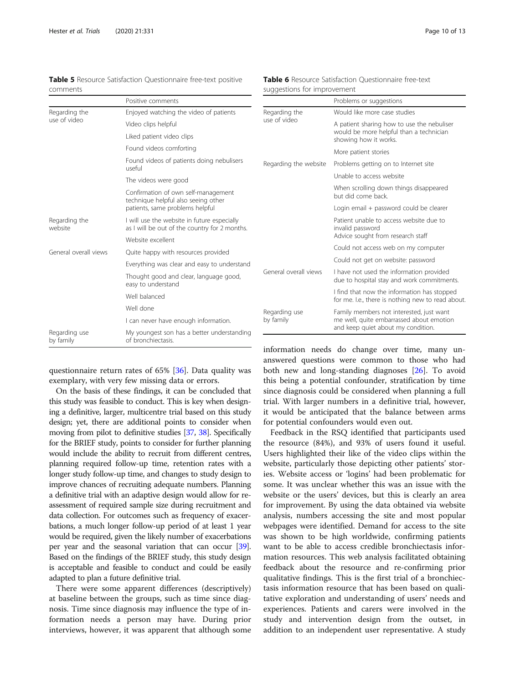to read about.

|                               |                                                                                              | saggestions for imployed refite |                                                                                               |
|-------------------------------|----------------------------------------------------------------------------------------------|---------------------------------|-----------------------------------------------------------------------------------------------|
|                               | Positive comments                                                                            |                                 | Problems or suggestions                                                                       |
| Regarding the<br>use of video | Enjoyed watching the video of patients                                                       | Regarding the                   | Would like more case studies                                                                  |
|                               | Video clips helpful                                                                          | use of video                    | A patient sharing how to use the nebuliser                                                    |
|                               | Liked patient video clips                                                                    |                                 | would be more helpful than a technician<br>showing how it works.                              |
|                               | Found videos comforting                                                                      |                                 | More patient stories                                                                          |
|                               | Found videos of patients doing nebulisers<br>useful                                          | Regarding the website           | Problems getting on to Internet site                                                          |
|                               | The videos were good                                                                         |                                 | Unable to access website                                                                      |
|                               | Confirmation of own self-management<br>technique helpful also seeing other                   |                                 | When scrolling down things disappeared<br>but did come back.                                  |
|                               | patients, same problems helpful                                                              |                                 | Login email + password could be clearer                                                       |
| Regarding the<br>website      | I will use the website in future especially<br>as I will be out of the country for 2 months. |                                 | Patient unable to access website due to<br>invalid password                                   |
|                               | Website excellent                                                                            |                                 | Advice sought from research staff                                                             |
| General overall views         | Quite happy with resources provided                                                          |                                 | Could not access web on my computer                                                           |
|                               | Everything was clear and easy to understand                                                  |                                 | Could not get on website: password                                                            |
|                               | Thought good and clear, language good,<br>easy to understand                                 | General overall views           | I have not used the information provided<br>due to hospital stay and work commitments         |
|                               | Well balanced                                                                                |                                 | I find that now the information has stopped<br>for me. I.e., there is nothing new to read abo |
|                               | Well done                                                                                    | Regarding use                   | Family members not interested, just want                                                      |
|                               | can never have enough information.                                                           | by family                       | me well, quite embarrassed about emotion<br>and keep quiet about my condition.                |
| Regarding use<br>by family    | My youngest son has a better understanding<br>of bronchiectasis.                             |                                 |                                                                                               |

<span id="page-9-0"></span>Table 5 Resource Satisfaction Questionnaire free-text positive comments

questionnaire return rates of 65% [[36\]](#page-12-0). Data quality was exemplary, with very few missing data or errors.

On the basis of these findings, it can be concluded that this study was feasible to conduct. This is key when designing a definitive, larger, multicentre trial based on this study design; yet, there are additional points to consider when moving from pilot to definitive studies [\[37,](#page-12-0) [38](#page-12-0)]. Specifically for the BRIEF study, points to consider for further planning would include the ability to recruit from different centres, planning required follow-up time, retention rates with a longer study follow-up time, and changes to study design to improve chances of recruiting adequate numbers. Planning a definitive trial with an adaptive design would allow for reassessment of required sample size during recruitment and data collection. For outcomes such as frequency of exacerbations, a much longer follow-up period of at least 1 year would be required, given the likely number of exacerbations per year and the seasonal variation that can occur [\[39](#page-12-0)]. Based on the findings of the BRIEF study, this study design is acceptable and feasible to conduct and could be easily adapted to plan a future definitive trial.

There were some apparent differences (descriptively) at baseline between the groups, such as time since diagnosis. Time since diagnosis may influence the type of information needs a person may have. During prior interviews, however, it was apparent that although some information needs do change over time, many unanswered questions were common to those who had both new and long-standing diagnoses [[26](#page-12-0)]. To avoid this being a potential confounder, stratification by time since diagnosis could be considered when planning a full trial. With larger numbers in a definitive trial, however, it would be anticipated that the balance between arms for potential confounders would even out.

Table 6 Resource Satisfaction Questionnaire free-text

suggestions for improvement

Feedback in the RSQ identified that participants used the resource (84%), and 93% of users found it useful. Users highlighted their like of the video clips within the website, particularly those depicting other patients' stories. Website access or 'logins' had been problematic for some. It was unclear whether this was an issue with the website or the users' devices, but this is clearly an area for improvement. By using the data obtained via website analysis, numbers accessing the site and most popular webpages were identified. Demand for access to the site was shown to be high worldwide, confirming patients want to be able to access credible bronchiectasis information resources. This web analysis facilitated obtaining feedback about the resource and re-confirming prior qualitative findings. This is the first trial of a bronchiectasis information resource that has been based on qualitative exploration and understanding of users' needs and experiences. Patients and carers were involved in the study and intervention design from the outset, in addition to an independent user representative. A study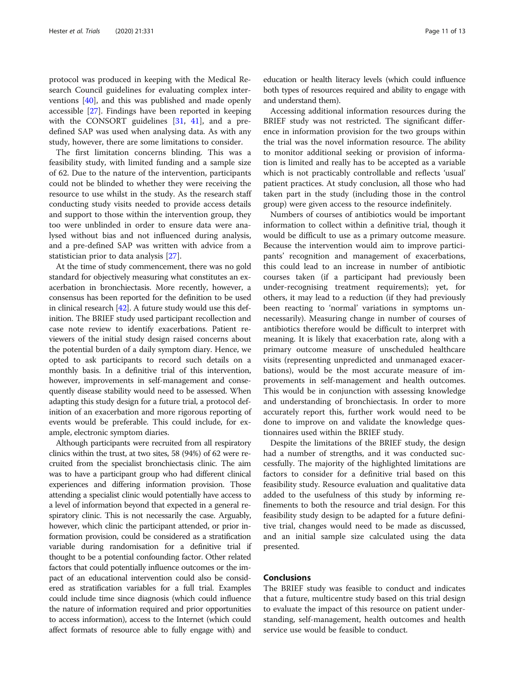protocol was produced in keeping with the Medical Research Council guidelines for evaluating complex interventions [\[40](#page-12-0)], and this was published and made openly accessible [[27\]](#page-12-0). Findings have been reported in keeping with the CONSORT guidelines [[31,](#page-12-0) [41\]](#page-12-0), and a predefined SAP was used when analysing data. As with any study, however, there are some limitations to consider.

The first limitation concerns blinding. This was a feasibility study, with limited funding and a sample size of 62. Due to the nature of the intervention, participants could not be blinded to whether they were receiving the resource to use whilst in the study. As the research staff conducting study visits needed to provide access details and support to those within the intervention group, they too were unblinded in order to ensure data were analysed without bias and not influenced during analysis, and a pre-defined SAP was written with advice from a statistician prior to data analysis [[27\]](#page-12-0).

At the time of study commencement, there was no gold standard for objectively measuring what constitutes an exacerbation in bronchiectasis. More recently, however, a consensus has been reported for the definition to be used in clinical research [[42](#page-12-0)]. A future study would use this definition. The BRIEF study used participant recollection and case note review to identify exacerbations. Patient reviewers of the initial study design raised concerns about the potential burden of a daily symptom diary. Hence, we opted to ask participants to record such details on a monthly basis. In a definitive trial of this intervention, however, improvements in self-management and consequently disease stability would need to be assessed. When adapting this study design for a future trial, a protocol definition of an exacerbation and more rigorous reporting of events would be preferable. This could include, for example, electronic symptom diaries.

Although participants were recruited from all respiratory clinics within the trust, at two sites, 58 (94%) of 62 were recruited from the specialist bronchiectasis clinic. The aim was to have a participant group who had different clinical experiences and differing information provision. Those attending a specialist clinic would potentially have access to a level of information beyond that expected in a general respiratory clinic. This is not necessarily the case. Arguably, however, which clinic the participant attended, or prior information provision, could be considered as a stratification variable during randomisation for a definitive trial if thought to be a potential confounding factor. Other related factors that could potentially influence outcomes or the impact of an educational intervention could also be considered as stratification variables for a full trial. Examples could include time since diagnosis (which could influence the nature of information required and prior opportunities to access information), access to the Internet (which could affect formats of resource able to fully engage with) and

education or health literacy levels (which could influence both types of resources required and ability to engage with and understand them).

Accessing additional information resources during the BRIEF study was not restricted. The significant difference in information provision for the two groups within the trial was the novel information resource. The ability to monitor additional seeking or provision of information is limited and really has to be accepted as a variable which is not practicably controllable and reflects 'usual' patient practices. At study conclusion, all those who had taken part in the study (including those in the control group) were given access to the resource indefinitely.

Numbers of courses of antibiotics would be important information to collect within a definitive trial, though it would be difficult to use as a primary outcome measure. Because the intervention would aim to improve participants' recognition and management of exacerbations, this could lead to an increase in number of antibiotic courses taken (if a participant had previously been under-recognising treatment requirements); yet, for others, it may lead to a reduction (if they had previously been reacting to 'normal' variations in symptoms unnecessarily). Measuring change in number of courses of antibiotics therefore would be difficult to interpret with meaning. It is likely that exacerbation rate, along with a primary outcome measure of unscheduled healthcare visits (representing unpredicted and unmanaged exacerbations), would be the most accurate measure of improvements in self-management and health outcomes. This would be in conjunction with assessing knowledge and understanding of bronchiectasis. In order to more accurately report this, further work would need to be done to improve on and validate the knowledge questionnaires used within the BRIEF study.

Despite the limitations of the BRIEF study, the design had a number of strengths, and it was conducted successfully. The majority of the highlighted limitations are factors to consider for a definitive trial based on this feasibility study. Resource evaluation and qualitative data added to the usefulness of this study by informing refinements to both the resource and trial design. For this feasibility study design to be adapted for a future definitive trial, changes would need to be made as discussed, and an initial sample size calculated using the data presented.

#### Conclusions

The BRIEF study was feasible to conduct and indicates that a future, multicentre study based on this trial design to evaluate the impact of this resource on patient understanding, self-management, health outcomes and health service use would be feasible to conduct.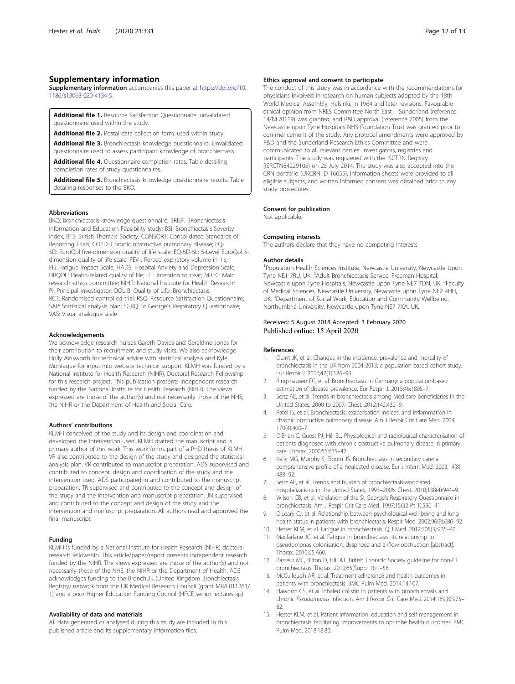#### <span id="page-11-0"></span>Supplementary information

Supplementary information accompanies this paper at [https://doi.org/10.](https://doi.org/10.1186/s13063-020-4134-5) [1186/s13063-020-4134-5.](https://doi.org/10.1186/s13063-020-4134-5)

Additional file 1. Resource Satisfaction Questionnaire: unvalidated questionnaire used within the study.

Additional file 2. Postal data collection form: used within study.

Additional file 3. Bronchiectasis knowledge questionnaire. Unvalidated questionnaire used to assess participant knowledge of bronchiectasis.

Additional file 4. Questionnaire completion rates. Table detailing completion rates of study questionnaires.

Additional file 5. Bronchiectasis knowledge questionnaire results. Table detailing responses to the BKQ.

#### Abbreviations

BKQ: Bronchiectasis knowledge questionnaire; BRIEF: BRonchiectasis Information and Education Feasibility study; BSI: Bronchiectasis Severity Index; BTS: British Thoracic Society; CONSORT: Consolidated Standards of Reporting Trials; COPD: Chronic obstructive pulmonary disease; EQ-5D: EuroQol five-dimension quality of life scale; EQ-5D-5L: 5-Level EuroQol 5 dimension quality of life scale;  $FEV<sub>1</sub>$ : Forced expiratory volume in 1 s; FIS: Fatigue Impact Scale; HADS: Hospital Anxiety and Depression Scale; HRQOL: Health-related quality of life; ITT: Intention to treat; MREC: Main research ethics committee; NIHR: National Institute for Health Research; PI: Principal investigator; QOL-B: Quality of Life–Bronchiectasis; RCT: Randomised controlled trial; RSQ: Resource Satisfaction Questionnaire; SAP: Statistical analysis plan; SGRQ: St George's Respiratory Questionnaire; VAS: Visual analogue scale

#### Acknowledgements

We acknowledge research nurses Gareth Davies and Geraldine Jones for their contribution to recruitment and study visits. We also acknowledge Holly Ainsworth for technical advice with statistical analysis and Kyle Montague for input into website technical support. KLMH was funded by a National Institute for Health Research (NIHR), Doctoral Research Fellowship for this research project. This publication presents independent research funded by the National Institute for Health Research (NIHR). The views expressed are those of the author(s) and not necessarily those of the NHS, the NIHR or the Department of Health and Social Care.

#### Authors' contributions

KLMH conceived of the study and its design and coordination and developed the intervention used. KLMH drafted the manuscript and is primary author of this work. This work forms part of a PhD thesis of KLMH. VR also contributed to the design of the study and designed the statistical analysis plan. VR contributed to manuscript preparation. ADS supervised and contributed to concept, design and coordination of the study and the intervention used. ADS participated in and contributed to the manuscript preparation. TR supervised and contributed to the concept and design of the study and the intervention and manuscript preparation. JN supervised and contributed to the concept and design of the study and the intervention and manuscript preparation. All authors read and approved the final manuscript.

#### Funding

KLMH is funded by a National Institute for Health Research (NIHR) doctoral research fellowship. This article/paper/report presents independent research funded by the NIHR. The views expressed are those of the author(s) and not necessarily those of the NHS, the NIHR or the Department of Health. ADS acknowledges funding to the BronchUK (United Kingdom Bronchiectasis Registry) network from the UK Medical Research Council (grant MR/L011263/ 1) and a prior Higher Education Funding Council (HFCE senior lectureship).

#### Availability of data and materials

All data generated or analysed during this study are included in this published article and its supplementary information files.

The conduct of this study was in accordance with the recommendations for physicians involved in research on human subjects adopted by the 18th World Medical Assembly, Helsinki, in 1964 and later revisions. Favourable ethical opinion from NRES Committee North East – Sunderland (reference 14/NE/0119) was granted, and R&D approval (reference 7005) from the Newcastle upon Tyne Hospitals NHS Foundation Trust was granted prior to commencement of the study. Any protocol amendments were approved by R&D and the Sunderland Research Ethics Committee and were communicated to all relevant parties: investigators, registries and participants. The study was registered with the ISCTRN Registry (ISRCTN84229105) on 25 July 2014. The study was also accepted into the CRN portfolio (UKCRN ID 16655). Information sheets were provided to all eligible subjects, and written informed consent was obtained prior to any study procedures.

#### Consent for publication

Not applicable.

#### Competing interests

The authors declare that they have no competing interests.

#### Author details

<sup>1</sup> Population Health Sciences Institute, Newcastle University, Newcastle Upon Tyne NE1 7RU, UK. <sup>2</sup> Adult Bronchiectasis Service, Freeman Hospital Newcastle upon Tyne Hospitals, Newcastle upon Tyne NE7 7DN, UK. <sup>3</sup>Faculty of Medical Sciences, Newcastle University, Newcastle upon Tyne NE2 4HH, UK. <sup>4</sup> Department of Social Work, Education and Community Wellbeing, Northumbria University, Newcastle upon Tyne NE7 7XA, UK.

#### Received: 5 August 2018 Accepted: 3 February 2020 Published online: 15 April 2020

#### References

- 1. Quint JK, et al. Changes in the incidence, prevalence and mortality of bronchiectasis in the UK from 2004-2013: a population based cohort study. Eur Respir J. 2016;47(1):186–93.
- 2. Ringshausen FC, et al. Bronchiectasis in Germany: a population-based estimation of disease prevalence. Eur Respir J. 2015;46:1805–7.
- Seitz AE, et al. Trends in bronchiectasis among Medicare beneficiaries in the United States, 2000 to 2007. Chest. 2012;142:432–9.
- 4. Patel IS, et al. Bronchiectasis, exacerbation indices, and inflammation in chronic obstructive pulmonary disease. Am J Respir Crit Care Med. 2004; 170(4):400–7.
- 5. O'Brien C, Guest PJ, Hill SL. Physiological and radiological characterisation of patients diagnosed with chronic obstructive pulmonary disease in primary care. Thorax. 2000;55:635–42.
- 6. Kelly MG, Murphy S, Elborn JS. Bronchiectasis in secondary care: a comprehensive profile of a neglected disease. Eur J Intern Med. 2003;14(8): 488–92.
- 7. Seitz AE, et al. Trends and burden of bronchiectasis-associated hospitalizations in the United States, 1993–2006. Chest. 2010;138(4):944–9.
- 8. Wilson CB, et al. Validation of the St George's Respiratory Questionnaire in bronchiectasis. Am J Respir Crit Care Med. 1997;156(2 Pt 1):536–41.
- 9. O'Leary CJ, et al. Relationship between psychological well-being and lung health status in patients with bronchiectasis. Respir Med. 2002;96(9):686–92.
- 10. Hester KLM, et al. Fatigue in bronchiectasis. Q J Med. 2012;105(3):235–40.
- 11. Macfarlane JG, et al. Fatigue in bronchiectasis: its relationship to pseudomonas colonisation, dyspnoea and airflow obstruction [abstract]. Thorax. 2010;65:A60.
- 12. Pasteur MC, Bilton D, Hill AT. British Thoracic Society guideline for non-CF bronchiectasis. Thorax. 2010;65(Suppl 1):i1–58.
- 13. McCullough AR, et al. Treatment adherence and health outcomes in patients with bronchiectasis. BMC Pulm Med. 2014;14:107.
- 14. Haworth CS, et al. Inhaled colistin in patients with bronchiectasis and chronic Pseudomonas infection. Am J Respir Crit Care Med. 2014;189(8):975– 82.
- 15. Hester KLM, et al. Patient information, education and self-management in bronchiectasis: facilitating improvements to optimise health outcomes. BMC Pulm Med. 2018;18:80.